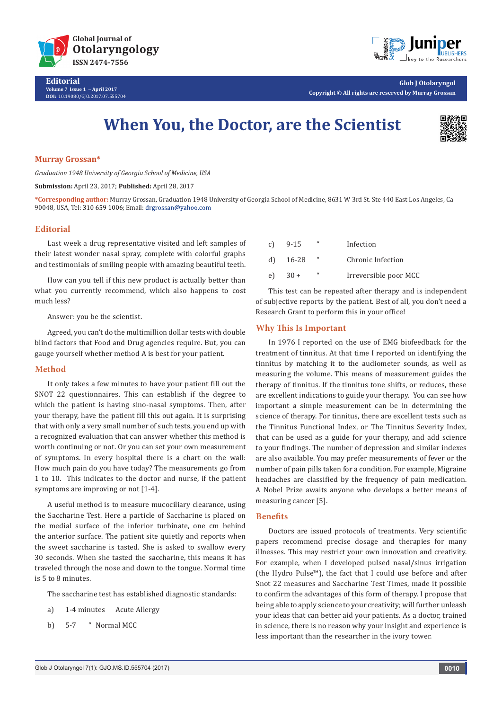



**Glob J Otolaryngol Copyright © All rights are reserved by Murray Grossan**

# **When You, the Doctor, are the Scientist**



#### **Murray Grossan\***

*Graduation 1948 University of Georgia School of Medicine, USA*

**Submission:** April 23, 2017; **Published:** April 28, 2017

**\*Corresponding author:** Murray Grossan, Graduation 1948 University of Georgia School of Medicine, 8631 W 3rd St. Ste 440 East Los Angeles, Ca 90048, USA, Tel: 310 659 1006; Email: drgrossan@yahoo.com

## **Editorial**

Last week a drug representative visited and left samples of their latest wonder nasal spray, complete with colorful graphs and testimonials of smiling people with amazing beautiful teeth.

How can you tell if this new product is actually better than what you currently recommend, which also happens to cost much less?

Answer: you be the scientist.

Agreed, you can't do the multimillion dollar tests with double blind factors that Food and Drug agencies require. But, you can gauge yourself whether method A is best for your patient.

#### **Method**

It only takes a few minutes to have your patient fill out the SNOT 22 questionnaires. This can establish if the degree to which the patient is having sino-nasal symptoms. Then, after your therapy, have the patient fill this out again. It is surprising that with only a very small number of such tests, you end up with a recognized evaluation that can answer whether this method is worth continuing or not. Or you can set your own measurement of symptoms. In every hospital there is a chart on the wall: How much pain do you have today? The measurements go from 1 to 10. This indicates to the doctor and nurse, if the patient symptoms are improving or not [1-4].

A useful method is to measure mucociliary clearance, using the Saccharine Test. Here a particle of Saccharine is placed on the medial surface of the inferior turbinate, one cm behind the anterior surface. The patient site quietly and reports when the sweet saccharine is tasted. She is asked to swallow every 30 seconds. When she tasted the saccharine, this means it has traveled through the nose and down to the tongue. Normal time is 5 to 8 minutes.

The saccharine test has established diagnostic standards:

- a) 1-4 minutes Acute Allergy
- b) 5-7 " Normal MCC

| c) | 9-15   | $\epsilon$    | Infection             |
|----|--------|---------------|-----------------------|
| d) | 16-28  | $\mathcal{U}$ | Chronic Infection     |
| e) | $30 +$ | $\epsilon$    | Irreversible poor MCC |

This test can be repeated after therapy and is independent of subjective reports by the patient. Best of all, you don't need a Research Grant to perform this in your office!

#### **Why This Is Important**

In 1976 I reported on the use of EMG biofeedback for the treatment of tinnitus. At that time I reported on identifying the tinnitus by matching it to the audiometer sounds, as well as measuring the volume. This means of measurement guides the therapy of tinnitus. If the tinnitus tone shifts, or reduces, these are excellent indications to guide your therapy. You can see how important a simple measurement can be in determining the science of therapy. For tinnitus, there are excellent tests such as the Tinnitus Functional Index, or The Tinnitus Severity Index, that can be used as a guide for your therapy, and add science to your findings. The number of depression and similar indexes are also available. You may prefer measurements of fever or the number of pain pills taken for a condition. For example, Migraine headaches are classified by the frequency of pain medication. A Nobel Prize awaits anyone who develops a better means of measuring cancer [5].

## **Benefits**

Doctors are issued protocols of treatments. Very scientific papers recommend precise dosage and therapies for many illnesses. This may restrict your own innovation and creativity. For example, when I developed pulsed nasal/sinus irrigation (the Hydro Pulse™), the fact that I could use before and after Snot 22 measures and Saccharine Test Times, made it possible to confirm the advantages of this form of therapy. I propose that being able to apply science to your creativity; will further unleash your ideas that can better aid your patients. As a doctor, trained in science, there is no reason why your insight and experience is less important than the researcher in the ivory tower.